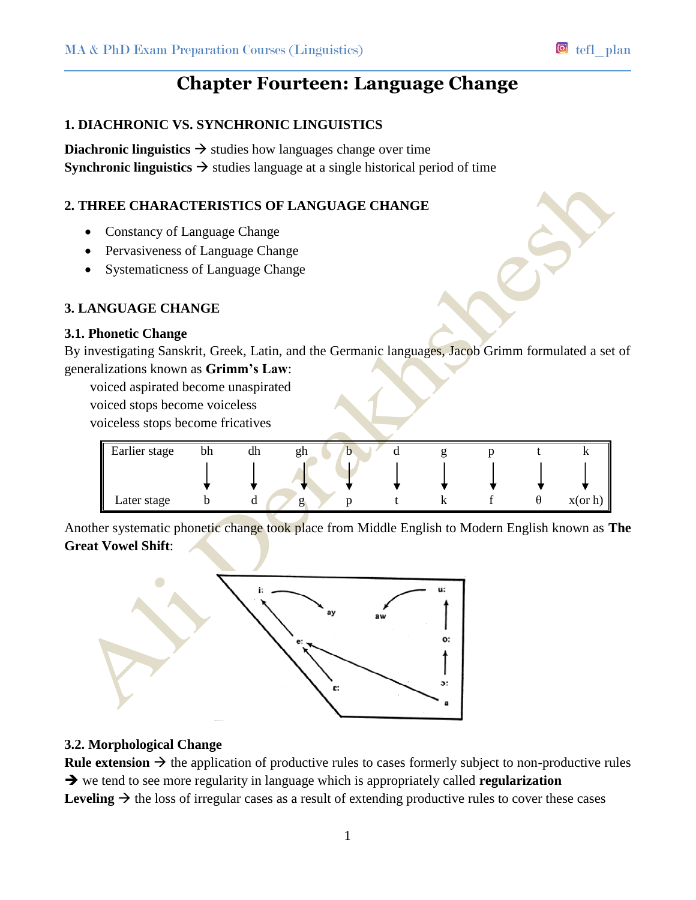## **1. DIACHRONIC VS. SYNCHRONIC LINGUISTICS**

**Diachronic linguistics**  $\rightarrow$  studies how languages change over time **Synchronic linguistics**  $\rightarrow$  studies language at a single historical period of time

## **2. THREE CHARACTERISTICS OF LANGUAGE CHANGE**

- Constancy of Language Change
- Pervasiveness of Language Change
- Systematicness of Language Change

### **3. LANGUAGE CHANGE**

#### **3.1. Phonetic Change**

By investigating Sanskrit, Greek, Latin, and the Germanic languages, Jacob Grimm formulated a set of generalizations known as **Grimm's Law**:

- voiced aspirated become unaspirated
- voiced stops become voiceless

voiceless stops become fricatives



Another systematic phonetic change took place from Middle English to Modern English known as **The Great Vowel Shift**:



#### **3.2. Morphological Change**

**Rule** extension  $\rightarrow$  the application of productive rules to cases formerly subject to non-productive rules we tend to see more regularity in language which is appropriately called **regularization Leveling**  $\rightarrow$  the loss of irregular cases as a result of extending productive rules to cover these cases